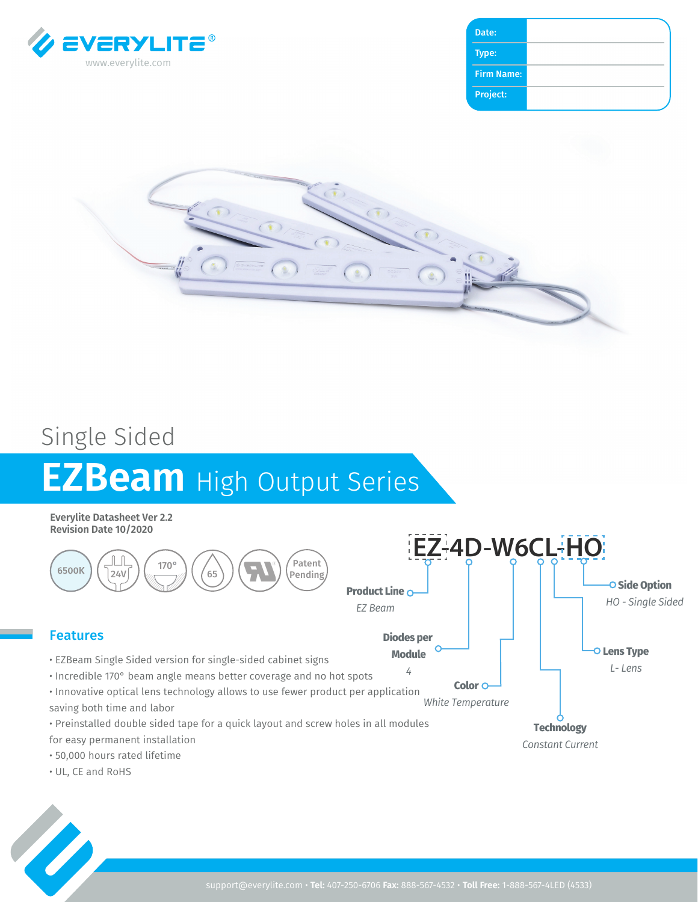

| Type:             |  |
|-------------------|--|
| <b>Firm Name:</b> |  |
| Project:          |  |



## Single Sided **EZBeam** High Output Series

**Everylite Datasheet Ver 2.2 Revision Date 10/2020**